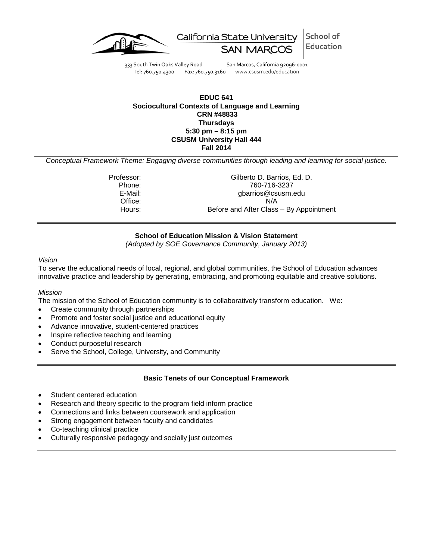

School of California State University Education

333 South Twin Oaks Valley Road San Marcos, California 92096-0001 Tel: 760.750.4300 Fax: 760.750.3160 www.csusm.edu/education

# **EDUC 641 Sociocultural Contexts of Language and Learning CRN #48833 Thursdays 5:30 pm – 8:15 pm CSUSM University Hall 444 Fall 2014**

*Conceptual Framework Theme: Engaging diverse communities through leading and learning for social justice.*

Professor: Gilberto D. Barrios, Ed. D. Phone: 760-716-3237 E-Mail: E-Mail: gbarrios@csusm.edu<br>Office: N/A Office:<br>Hours: Before and After Class – By Appointment

### **School of Education Mission & Vision Statement**

*(Adopted by SOE Governance Community, January 2013)*

### *Vision*

To serve the educational needs of local, regional, and global communities, the School of Education advances innovative practice and leadership by generating, embracing, and promoting equitable and creative solutions.

### *Mission*

The mission of the School of Education community is to collaboratively transform education. We:

- Create community through partnerships
- Promote and foster social justice and educational equity
- Advance innovative, student-centered practices
- Inspire reflective teaching and learning
- Conduct purposeful research
- Serve the School, College, University, and Community

### **Basic Tenets of our Conceptual Framework**

- Student centered education
- Research and theory specific to the program field inform practice
- Connections and links between coursework and application
- Strong engagement between faculty and candidates
- Co-teaching clinical practice
- Culturally responsive pedagogy and socially just outcomes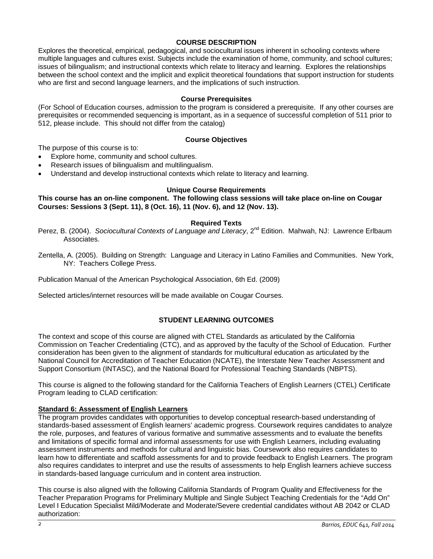# **COURSE DESCRIPTION**

Explores the theoretical, empirical, pedagogical, and sociocultural issues inherent in schooling contexts where multiple languages and cultures exist. Subjects include the examination of home, community, and school cultures; issues of bilingualism; and instructional contexts which relate to literacy and learning. Explores the relationships between the school context and the implicit and explicit theoretical foundations that support instruction for students who are first and second language learners, and the implications of such instruction.

### **Course Prerequisites**

(For School of Education courses, admission to the program is considered a prerequisite. If any other courses are prerequisites or recommended sequencing is important, as in a sequence of successful completion of 511 prior to 512, please include. This should not differ from the catalog)

### **Course Objectives**

The purpose of this course is to:

- Explore home, community and school cultures.
- Research issues of bilingualism and multilingualism.
- Understand and develop instructional contexts which relate to literacy and learning.

### **Unique Course Requirements**

**This course has an on-line component. The following class sessions will take place on-line on Cougar Courses: Sessions 3 (Sept. 11), 8 (Oct. 16), 11 (Nov. 6), and 12 (Nov. 13).**

### **Required Texts**

- Perez, B. (2004). *Sociocultural Contexts of Language and Literacy*, 2<sup>nd</sup> Edition. Mahwah, NJ: Lawrence Erlbaum Associates.
- Zentella, A. (2005). Building on Strength: Language and Literacy in Latino Families and Communities. New York, NY: Teachers College Press.

Publication Manual of the American Psychological Association, 6th Ed. (2009)

Selected articles/internet resources will be made available on Cougar Courses.

# **STUDENT LEARNING OUTCOMES**

The context and scope of this course are aligned with CTEL Standards as articulated by the California Commission on Teacher Credentialing (CTC), and as approved by the faculty of the School of Education. Further consideration has been given to the alignment of standards for multicultural education as articulated by the National Council for Accreditation of Teacher Education (NCATE), the Interstate New Teacher Assessment and Support Consortium (INTASC), and the National Board for Professional Teaching Standards (NBPTS).

This course is aligned to the following standard for the California Teachers of English Learners (CTEL) Certificate Program leading to CLAD certification:

### **Standard 6: Assessment of English Learners**

The program provides candidates with opportunities to develop conceptual research-based understanding of standards-based assessment of English learners' academic progress. Coursework requires candidates to analyze the role, purposes, and features of various formative and summative assessments and to evaluate the benefits and limitations of specific formal and informal assessments for use with English Learners, including evaluating assessment instruments and methods for cultural and linguistic bias. Coursework also requires candidates to learn how to differentiate and scaffold assessments for and to provide feedback to English Learners. The program also requires candidates to interpret and use the results of assessments to help English learners achieve success in standards-based language curriculum and in content area instruction.

This course is also aligned with the following California Standards of Program Quality and Effectiveness for the Teacher Preparation Programs for Preliminary Multiple and Single Subject Teaching Credentials for the "Add On" Level I Education Specialist Mild/Moderate and Moderate/Severe credential candidates without AB 2042 or CLAD authorization: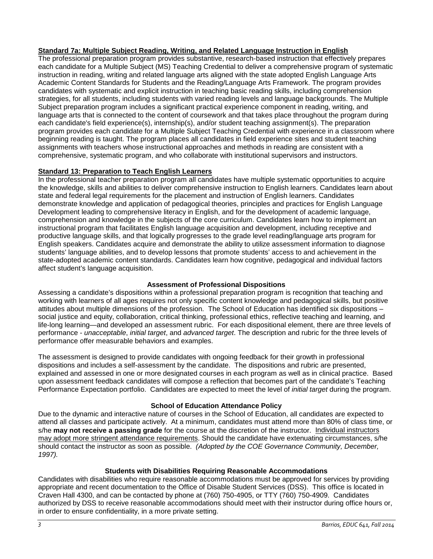# **Standard 7a: Multiple Subject Reading, Writing, and Related Language Instruction in English**

The professional preparation program provides substantive, research-based instruction that effectively prepares each candidate for a Multiple Subject (MS) Teaching Credential to deliver a comprehensive program of systematic instruction in reading, writing and related language arts aligned with the state adopted English Language Arts Academic Content Standards for Students and the Reading/Language Arts Framework. The program provides candidates with systematic and explicit instruction in teaching basic reading skills, including comprehension strategies, for all students, including students with varied reading levels and language backgrounds. The Multiple Subject preparation program includes a significant practical experience component in reading, writing, and language arts that is connected to the content of coursework and that takes place throughout the program during each candidate's field experience(s), internship(s), and/or student teaching assignment(s). The preparation program provides each candidate for a Multiple Subject Teaching Credential with experience in a classroom where beginning reading is taught. The program places all candidates in field experience sites and student teaching assignments with teachers whose instructional approaches and methods in reading are consistent with a comprehensive, systematic program, and who collaborate with institutional supervisors and instructors.

# **Standard 13: Preparation to Teach English Learners**

In the professional teacher preparation program all candidates have multiple systematic opportunities to acquire the knowledge, skills and abilities to deliver comprehensive instruction to English learners. Candidates learn about state and federal legal requirements for the placement and instruction of English learners. Candidates demonstrate knowledge and application of pedagogical theories, principles and practices for English Language Development leading to comprehensive literacy in English, and for the development of academic language, comprehension and knowledge in the subjects of the core curriculum. Candidates learn how to implement an instructional program that facilitates English language acquisition and development, including receptive and productive language skills, and that logically progresses to the grade level reading/language arts program for English speakers. Candidates acquire and demonstrate the ability to utilize assessment information to diagnose students' language abilities, and to develop lessons that promote students' access to and achievement in the state-adopted academic content standards. Candidates learn how cognitive, pedagogical and individual factors affect student's language acquisition.

# **Assessment of Professional Dispositions**

Assessing a candidate's dispositions within a professional preparation program is recognition that teaching and working with learners of all ages requires not only specific content knowledge and pedagogical skills, but positive attitudes about multiple dimensions of the profession. The School of Education has identified six dispositions – social justice and equity, collaboration, critical thinking, professional ethics, reflective teaching and learning, and life-long learning—and developed an assessment rubric. For each dispositional element, there are three levels of performance - *unacceptable*, *initial target*, and *advanced target*. The description and rubric for the three levels of performance offer measurable behaviors and examples.

The assessment is designed to provide candidates with ongoing feedback for their growth in professional dispositions and includes a self-assessment by the candidate. The dispositions and rubric are presented, explained and assessed in one or more designated courses in each program as well as in clinical practice. Based upon assessment feedback candidates will compose a reflection that becomes part of the candidate's Teaching Performance Expectation portfolio. Candidates are expected to meet the level of *initial target* during the program.

# **School of Education Attendance Policy**

Due to the dynamic and interactive nature of courses in the School of Education, all candidates are expected to attend all classes and participate actively. At a minimum, candidates must attend more than 80% of class time, or s/he **may not receive a passing grade** for the course at the discretion of the instructor. Individual instructors may adopt more stringent attendance requirements. Should the candidate have extenuating circumstances, s/he should contact the instructor as soon as possible. *(Adopted by the COE Governance Community, December, 1997).*

# **Students with Disabilities Requiring Reasonable Accommodations**

Candidates with disabilities who require reasonable accommodations must be approved for services by providing appropriate and recent documentation to the Office of Disable Student Services (DSS). This office is located in Craven Hall 4300, and can be contacted by phone at (760) 750-4905, or TTY (760) 750-4909. Candidates authorized by DSS to receive reasonable accommodations should meet with their instructor during office hours or, in order to ensure confidentiality, in a more private setting.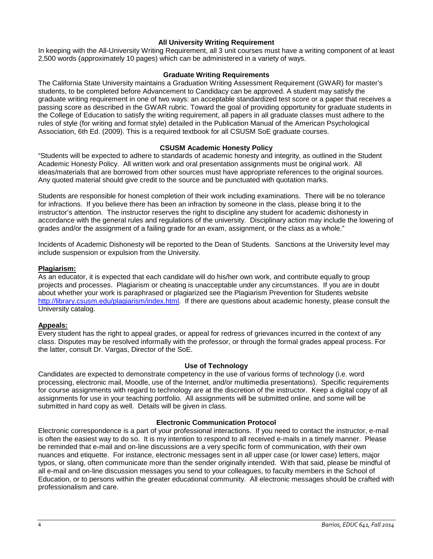# **All University Writing Requirement**

In keeping with the All-University Writing Requirement, all 3 unit courses must have a writing component of at least 2,500 words (approximately 10 pages) which can be administered in a variety of ways.

### **Graduate Writing Requirements**

The California State University maintains a Graduation Writing Assessment Requirement (GWAR) for master's students, to be completed before Advancement to Candidacy can be approved. A student may satisfy the graduate writing requirement in one of two ways: an acceptable standardized test score or a paper that receives a passing score as described in the GWAR rubric. Toward the goal of providing opportunity for graduate students in the College of Education to satisfy the writing requirement, all papers in all graduate classes must adhere to the rules of style (for writing and format style) detailed in the Publication Manual of the American Psychological Association, 6th Ed. (2009). This is a required textbook for all CSUSM SoE graduate courses.

### **CSUSM Academic Honesty Policy**

"Students will be expected to adhere to standards of academic honesty and integrity, as outlined in the Student Academic Honesty Policy. All written work and oral presentation assignments must be original work. All ideas/materials that are borrowed from other sources must have appropriate references to the original sources. Any quoted material should give credit to the source and be punctuated with quotation marks.

Students are responsible for honest completion of their work including examinations. There will be no tolerance for infractions. If you believe there has been an infraction by someone in the class, please bring it to the instructor's attention. The instructor reserves the right to discipline any student for academic dishonesty in accordance with the general rules and regulations of the university. Disciplinary action may include the lowering of grades and/or the assignment of a failing grade for an exam, assignment, or the class as a whole."

Incidents of Academic Dishonesty will be reported to the Dean of Students. Sanctions at the University level may include suspension or expulsion from the University.

### **Plagiarism:**

As an educator, it is expected that each candidate will do his/her own work, and contribute equally to group projects and processes. Plagiarism or cheating is unacceptable under any circumstances. If you are in doubt about whether your work is paraphrased or plagiarized see the Plagiarism Prevention for Students website [http://library.csusm.edu/plagiarism/index.html.](http://library.csusm.edu/plagiarism/index.html) If there are questions about academic honesty, please consult the University catalog.

### **Appeals:**

Every student has the right to appeal grades, or appeal for redress of grievances incurred in the context of any class. Disputes may be resolved informally with the professor, or through the formal grades appeal process. For the latter, consult Dr. Vargas, Director of the SoE.

### **Use of Technology**

Candidates are expected to demonstrate competency in the use of various forms of technology (i.e. word processing, electronic mail, Moodle, use of the Internet, and/or multimedia presentations). Specific requirements for course assignments with regard to technology are at the discretion of the instructor. Keep a digital copy of all assignments for use in your teaching portfolio. All assignments will be submitted online, and some will be submitted in hard copy as well. Details will be given in class.

### **Electronic Communication Protocol**

Electronic correspondence is a part of your professional interactions. If you need to contact the instructor, e-mail is often the easiest way to do so. It is my intention to respond to all received e-mails in a timely manner. Please be reminded that e-mail and on-line discussions are a very specific form of communication, with their own nuances and etiquette. For instance, electronic messages sent in all upper case (or lower case) letters, major typos, or slang, often communicate more than the sender originally intended. With that said, please be mindful of all e-mail and on-line discussion messages you send to your colleagues, to faculty members in the School of Education, or to persons within the greater educational community. All electronic messages should be crafted with professionalism and care.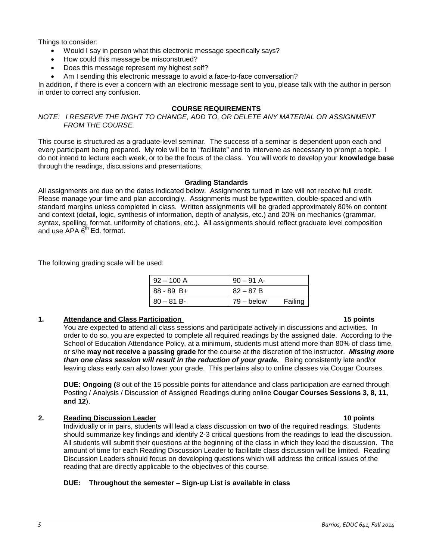Things to consider:

- Would I say in person what this electronic message specifically says?
- How could this message be misconstrued?
- Does this message represent my highest self?
- Am I sending this electronic message to avoid a face-to-face conversation?

In addition, if there is ever a concern with an electronic message sent to you, please talk with the author in person in order to correct any confusion.

# **COURSE REQUIREMENTS**

*NOTE: I RESERVE THE RIGHT TO CHANGE, ADD TO, OR DELETE ANY MATERIAL OR ASSIGNMENT FROM THE COURSE.*

This course is structured as a graduate-level seminar. The success of a seminar is dependent upon each and every participant being prepared. My role will be to "facilitate" and to intervene as necessary to prompt a topic. I do not intend to lecture each week, or to be the focus of the class. You will work to develop your **knowledge base** through the readings, discussions and presentations.

### **Grading Standards**

All assignments are due on the dates indicated below. Assignments turned in late will not receive full credit. Please manage your time and plan accordingly. Assignments must be typewritten, double-spaced and with standard margins unless completed in class. Written assignments will be graded approximately 80% on content and context (detail, logic, synthesis of information, depth of analysis, etc.) and 20% on mechanics (grammar, syntax, spelling, format, uniformity of citations, etc.). All assignments should reflect graduate level composition and use  $APA \ddot{\theta}^{th} Ed.$  format.

The following grading scale will be used:

| $92 - 100$ A   | 90 – 91 A- |         |
|----------------|------------|---------|
| $ 88 - 89 B +$ | $82 - 87B$ |         |
| $ 80 - 81 B -$ | 79 – below | Failing |

### **1. Attendance and Class Participation** 15 points 15 points

You are expected to attend all class sessions and participate actively in discussions and activities. In order to do so, you are expected to complete all required readings by the assigned date. According to the School of Education Attendance Policy, at a minimum, students must attend more than 80% of class time, or s/he **may not receive a passing grade** for the course at the discretion of the instructor. *Missing more than one class session will result in the reduction of your grade.* Being consistently late and/or leaving class early can also lower your grade. This pertains also to online classes via Cougar Courses.

**DUE: Ongoing (**8 out of the 15 possible points for attendance and class participation are earned through Posting / Analysis / Discussion of Assigned Readings during online **Cougar Courses Sessions 3, 8, 11, and 12**).

### **2. Reading Discussion Leader 10 points**

Individually or in pairs, students will lead a class discussion on **two** of the required readings. Students should summarize key findings and identify 2-3 critical questions from the readings to lead the discussion. All students will submit their questions at the beginning of the class in which they lead the discussion. The amount of time for each Reading Discussion Leader to facilitate class discussion will be limited. Reading Discussion Leaders should focus on developing questions which will address the critical issues of the reading that are directly applicable to the objectives of this course.

### **DUE: Throughout the semester – Sign-up List is available in class**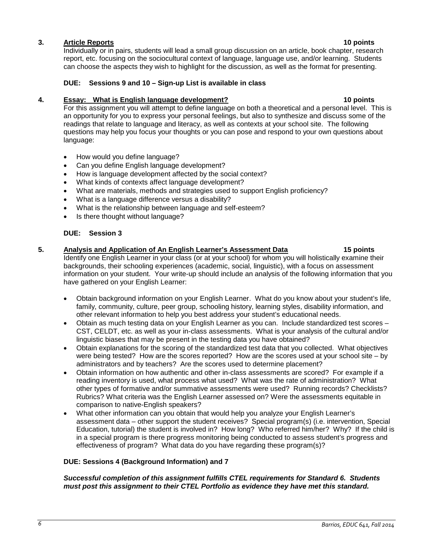# *6 Barrios, EDUC 641, Fall 2014*

### **3. Article Reports 10 points**

Individually or in pairs, students will lead a small group discussion on an article, book chapter, research report, etc. focusing on the sociocultural context of language, language use, and/or learning. Students can choose the aspects they wish to highlight for the discussion, as well as the format for presenting.

### **DUE: Sessions 9 and 10 – Sign-up List is available in class**

### **4. Essay: What is English language development? 10 points**

For this assignment you will attempt to define language on both a theoretical and a personal level. This is an opportunity for you to express your personal feelings, but also to synthesize and discuss some of the readings that relate to language and literacy, as well as contexts at your school site. The following questions may help you focus your thoughts or you can pose and respond to your own questions about language:

- How would you define language?
- Can you define English language development?
- How is language development affected by the social context?
- What kinds of contexts affect language development?
- What are materials, methods and strategies used to support English proficiency?
- What is a language difference versus a disability?
- What is the relationship between language and self-esteem?
- Is there thought without language?

# **DUE: Session 3**

# **5. Analysis and Application of An English Learner's Assessment Data 15 points** Identify one English Learner in your class (or at your school) for whom you will holistically examine their backgrounds, their schooling experiences (academic, social, linguistic), with a focus on assessment

information on your student. Your write-up should include an analysis of the following information that you have gathered on your English Learner:

- Obtain background information on your English Learner. What do you know about your student's life, family, community, culture, peer group, schooling history, learning styles, disability information, and other relevant information to help you best address your student's educational needs.
- Obtain as much testing data on your English Learner as you can. Include standardized test scores CST, CELDT, etc. as well as your in-class assessments. What is your analysis of the cultural and/or linguistic biases that may be present in the testing data you have obtained?
- Obtain explanations for the scoring of the standardized test data that you collected. What objectives were being tested? How are the scores reported? How are the scores used at your school site – by administrators and by teachers? Are the scores used to determine placement?
- Obtain information on how authentic and other in-class assessments are scored? For example if a reading inventory is used, what process what used? What was the rate of administration? What other types of formative and/or summative assessments were used? Running records? Checklists? Rubrics? What criteria was the English Learner assessed on? Were the assessments equitable in comparison to native-English speakers?
- What other information can you obtain that would help you analyze your English Learner's assessment data – other support the student receives? Special program(s) (i.e. intervention, Special Education, tutorial) the student is involved in? How long? Who referred him/her? Why? If the child is in a special program is there progress monitoring being conducted to assess student's progress and effectiveness of program? What data do you have regarding these program(s)?

### **DUE: Sessions 4 (Background Information) and 7**

### *Successful completion of this assignment fulfills CTEL requirements for Standard 6. Students must post this assignment to their CTEL Portfolio as evidence they have met this standard.*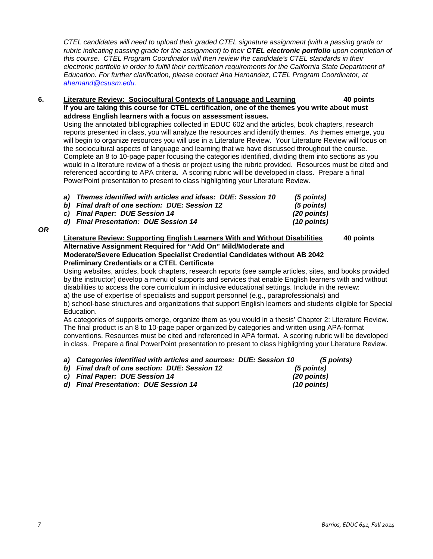*CTEL candidates will need to upload their graded CTEL signature assignment (with a passing grade or rubric indicating passing grade for the assignment) to their CTEL electronic portfolio upon completion of this course. CTEL Program Coordinator will then review the candidate's CTEL standards in their*  electronic portfolio in order to fulfill their certification requirements for the California State Department of *Education. For further clarification*, *please contact Ana Hernandez, CTEL Program Coordinator, at [ahernand@csusm.edu.](mailto:ahernand@csusm.edu)*

### **6. Literature Review: Sociocultural Contexts of Language and Learning 40 points If you are taking this course for CTEL certification, one of the themes you write about must address English learners with a focus on assessment issues.**

Using the annotated bibliographies collected in EDUC 602 and the articles, book chapters, research reports presented in class, you will analyze the resources and identify themes. As themes emerge, you will begin to organize resources you will use in a Literature Review. Your Literature Review will focus on the sociocultural aspects of language and learning that we have discussed throughout the course. Complete an 8 to 10-page paper focusing the categories identified, dividing them into sections as you would in a literature review of a thesis or project using the rubric provided. Resources must be cited and referenced according to APA criteria. A scoring rubric will be developed in class. Prepare a final PowerPoint presentation to present to class highlighting your Literature Review.

| a) Themes identified with articles and ideas: DUE: Session 10 | (5 points)    |
|---------------------------------------------------------------|---------------|
| b) Final draft of one section: DUE: Session 12                | (5 points)    |
| c) Final Paper: DUE Session 14                                | $(20$ points) |
| d) Final Presentation: DUE Session 14                         | $(10$ points) |

*OR*

# **Literature Review: Supporting English Learners With and Without Disabilities 40 points Alternative Assignment Required for "Add On" Mild/Moderate and Moderate/Severe Education Specialist Credential Candidates without AB 2042 Preliminary Credentials or a CTEL Certificate**

Using websites, articles, book chapters, research reports (see sample articles, sites, and books provided by the instructor) develop a menu of supports and services that enable English learners with and without disabilities to access the core curriculum in inclusive educational settings. Include in the review:

a) the use of expertise of specialists and support personnel (e.g., paraprofessionals) and b) school-base structures and organizations that support English learners and students eligible for Special Education.

As categories of supports emerge, organize them as you would in a thesis' Chapter 2: Literature Review. The final product is an 8 to 10-page paper organized by categories and written using APA-format conventions. Resources must be cited and referenced in APA format. A scoring rubric will be developed in class. Prepare a final PowerPoint presentation to present to class highlighting your Literature Review.

|  |  |  |  | a) Categories identified with articles and sources: DUE: Session 10 |  | (5 points) |
|--|--|--|--|---------------------------------------------------------------------|--|------------|
|  |  |  |  |                                                                     |  |            |

*b) Final draft of one section: DUE: Session 12 (5 points) c) Final Paper: DUE Session 14 (20 points) d*) Final Presentation: DUE Session 14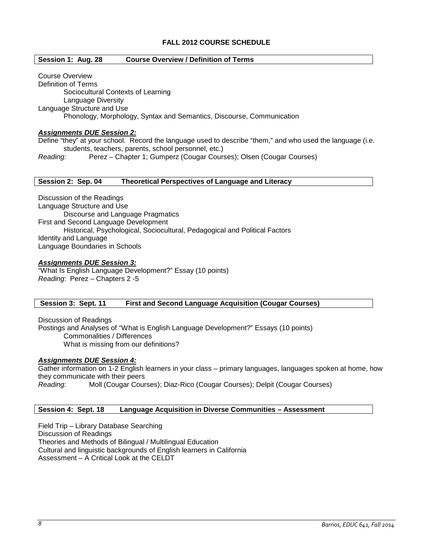# **FALL 2012 COURSE SCHEDULE**

### **Session 1: Aug. 28 Course Overview / Definition of Terms**

Course Overview Definition of Terms Sociocultural Contexts of Learning Language Diversity Language Structure and Use Phonology, Morphology, Syntax and Semantics, Discourse, Communication

### *Assignments DUE Session 2:*

Define "they" at your school. Record the language used to describe "them," and who used the language (i.e. students, teachers, parents, school personnel, etc.)

*Reading:* Perez – Chapter 1; Gumperz (Cougar Courses); Olsen (Cougar Courses)

### **Session 2: Sep. 04 Theoretical Perspectives of Language and Literacy**

Discussion of the Readings Language Structure and Use Discourse and Language Pragmatics First and Second Language Development Historical, Psychological, Sociocultural, Pedagogical and Political Factors Identity and Language Language Boundaries in Schools

### *Assignments DUE Session 3:*

"What Is English Language Development?" Essay (10 points) *Reading*: Perez – Chapters 2 -5

**Session 3: Sept. 11 First and Second Language Acquisition (Cougar Courses)**

Discussion of Readings Postings and Analyses of "What is English Language Development?" Essays (10 points) Commonalities / Differences What is missing from our definitions?

### *Assignments DUE Session 4:*

Gather information on 1-2 English learners in your class – primary languages, languages spoken at home, how they communicate with their peers<br>
Reading: Moll (Cougar Cour *Reading:* Moll (Cougar Courses); Diaz-Rico (Cougar Courses); Delpit (Cougar Courses)

### **Session 4: Sept. 18 Language Acquisition in Diverse Communities – Assessment**

Field Trip – Library Database Searching Discussion of Readings Theories and Methods of Bilingual / Multilingual Education Cultural and linguistic backgrounds of English learners in California Assessment – A Critical Look at the CELDT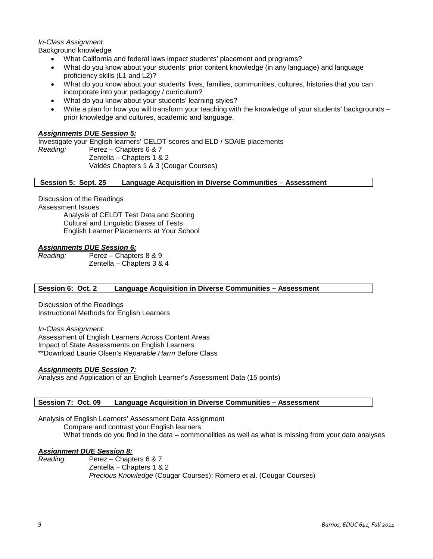# *In-Class Assignment:*

Background knowledge

- What California and federal laws impact students' placement and programs?
- What do you know about your students' prior content knowledge (in any language) and language proficiency skills (L1 and L2)?
- What do you know about your students' lives, families, communities, cultures, histories that you can incorporate into your pedagogy / curriculum?
- What do you know about your students' learning styles?
- Write a plan for how you will transform your teaching with the knowledge of your students' backgrounds prior knowledge and cultures, academic and language.

# *Assignments DUE Session 5:*

Investigate your English learners' CELDT scores and ELD / SDAIE placements *Reading:* Perez – Chapters 6 & 7 Zentella – Chapters 1 & 2 Valdés Chapters 1 & 3 (Cougar Courses)

**Session 5: Sept. 25 Language Acquisition in Diverse Communities – Assessment**

Discussion of the Readings

Assessment Issues

Analysis of CELDT Test Data and Scoring Cultural and Linguistic Biases of Tests English Learner Placements at Your School

### *Assignments DUE Session 6:*

*Reading:* Perez – Chapters 8 & 9 Zentella – Chapters 3 & 4

### **Session 6: Oct. 2 Language Acquisition in Diverse Communities – Assessment**

Discussion of the Readings Instructional Methods for English Learners

*In-Class Assignment:* Assessment of English Learners Across Content Areas Impact of State Assessments on English Learners \*\*Download Laurie Olsen's *Reparable Harm* Before Class

### *Assignments DUE Session 7:*

Analysis and Application of an English Learner's Assessment Data (15 points)

### **Session 7: Oct. 09 Language Acquisition in Diverse Communities – Assessment**

Analysis of English Learners' Assessment Data Assignment Compare and contrast your English learners What trends do you find in the data – commonalities as well as what is missing from your data analyses

# *Assignment DUE Session 8:*

*Reading:* Perez – Chapters 6 & 7 Zentella – Chapters 1 & 2 *Precious Knowledge* (Cougar Courses); Romero et al. (Cougar Courses)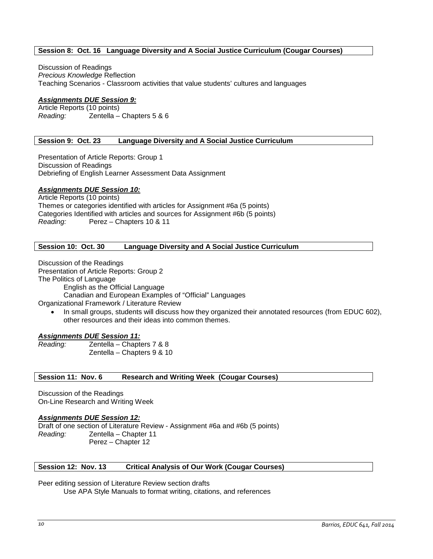# **Session 8: Oct. 16 Language Diversity and A Social Justice Curriculum (Cougar Courses)**

Discussion of Readings *Precious Knowledge* Reflection Teaching Scenarios - Classroom activities that value students' cultures and languages

### *Assignments DUE Session 9:*

Article Reports (10 points) *Reading:* Zentella – Chapters 5 & 6

### **Session 9: Oct. 23 Language Diversity and A Social Justice Curriculum**

Presentation of Article Reports: Group 1 Discussion of Readings Debriefing of English Learner Assessment Data Assignment

# *Assignments DUE Session 10:*

Article Reports (10 points) Themes or categories identified with articles for Assignment #6a (5 points) Categories Identified with articles and sources for Assignment #6b (5 points) *Reading:* Perez – Chapters 10 & 11

### **Session 10: Oct. 30 Language Diversity and A Social Justice Curriculum**

Discussion of the Readings Presentation of Article Reports: Group 2 The Politics of Language English as the Official Language Canadian and European Examples of "Official" Languages Organizational Framework / Literature Review

• In small groups, students will discuss how they organized their annotated resources (from EDUC 602), other resources and their ideas into common themes.

### *Assignments DUE Session 11:*

*Reading:* Zentella – Chapters 7 & 8 Zentella – Chapters 9 & 10

### Session 11: Nov. 6 Research and Writing Week (Cougar Courses)

Discussion of the Readings On-Line Research and Writing Week

### *Assignments DUE Session 12:*

Draft of one section of Literature Review - Assignment #6a and #6b (5 points) *Reading:* Zentella – Chapter 11 Perez – Chapter 12

### **Session 12: Nov. 13 Critical Analysis of Our Work (Cougar Courses)**

Peer editing session of Literature Review section drafts

Use APA Style Manuals to format writing, citations, and references